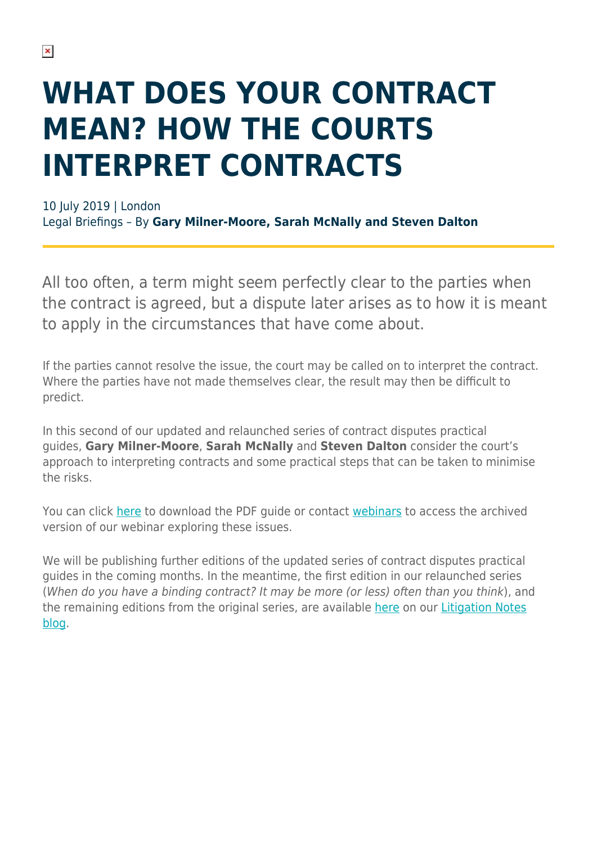## **WHAT DOES YOUR CONTRACT MEAN? HOW THE COURTS INTERPRET CONTRACTS**

10 July 2019 | London Legal Briefings – By **Gary Milner-Moore, Sarah McNally and Steven Dalton**

All too often, a term might seem perfectly clear to the parties when the contract is agreed, but a dispute later arises as to how it is meant to apply in the circumstances that have come about.

If the parties cannot resolve the issue, the court may be called on to interpret the contract. Where the parties have not made themselves clear, the result may then be difficult to predict.

In this second of our updated and relaunched series of contract disputes practical guides, **Gary Milner-Moore**, **Sarah McNally** and **Steven Dalton** consider the court's approach to interpreting contracts and some practical steps that can be taken to minimise the risks.

You can click [here](https://i6n7b4g7.stackpathcdn.com/litigation/wp-content/uploads/sites/7/2019/07/Contract-disputes-practical-guides_Issue-2_d6-Interpretation.pdf) to download the PDF guide or contact [webinars](mailto:webinars@hsf.com?subject=Archived%20webinars) to access the archived version of our webinar exploring these issues.

We will be publishing further editions of the updated series of contract disputes practical guides in the coming months. In the meantime, the first edition in our relaunched series (When do you have a binding contract? It may be more (or less) often than you think), and the remaining editions from the original series, are available [here](https://hsfnotes.com/litigation/contract-disputes-practical-guides/) on our [Litigation Notes](https://hsfnotes.com/litigation/) [blog.](https://hsfnotes.com/litigation/)